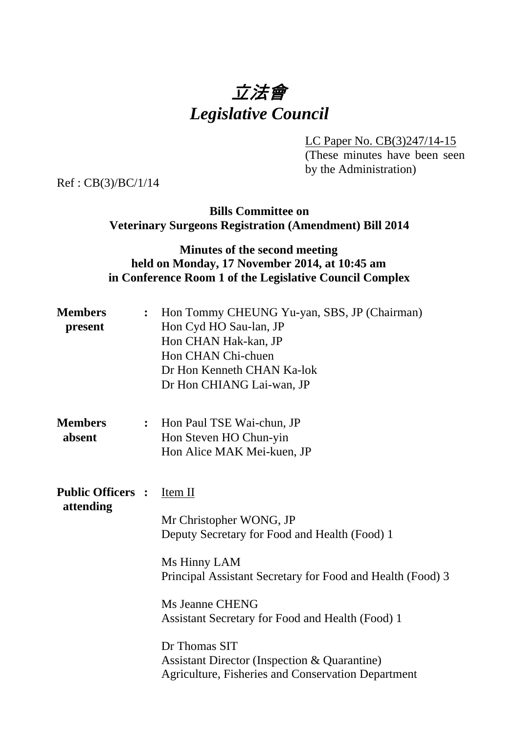# 立法會 *Legislative Council*

LC Paper No. CB(3)247/14-15

(These minutes have been seen by the Administration)

Ref : CB(3)/BC/1/14

### **Bills Committee on Veterinary Surgeons Registration (Amendment) Bill 2014**

## **Minutes of the second meeting held on Monday, 17 November 2014, at 10:45 am in Conference Room 1 of the Legislative Council Complex**

| <b>Members</b><br>present             | $\ddot{\cdot}$ | Hon Tommy CHEUNG Yu-yan, SBS, JP (Chairman)<br>Hon Cyd HO Sau-lan, JP<br>Hon CHAN Hak-kan, JP<br>Hon CHAN Chi-chuen<br>Dr Hon Kenneth CHAN Ka-lok<br>Dr Hon CHIANG Lai-wan, JP                                                                                                                                                                                                                  |
|---------------------------------------|----------------|-------------------------------------------------------------------------------------------------------------------------------------------------------------------------------------------------------------------------------------------------------------------------------------------------------------------------------------------------------------------------------------------------|
| <b>Members</b><br>absent              | $\ddot{\cdot}$ | Hon Paul TSE Wai-chun, JP<br>Hon Steven HO Chun-yin<br>Hon Alice MAK Mei-kuen, JP                                                                                                                                                                                                                                                                                                               |
| <b>Public Officers :</b><br>attending |                | <u>Item II</u><br>Mr Christopher WONG, JP<br>Deputy Secretary for Food and Health (Food) 1<br>Ms Hinny LAM<br>Principal Assistant Secretary for Food and Health (Food) 3<br><b>Ms Jeanne CHENG</b><br>Assistant Secretary for Food and Health (Food) 1<br>Dr Thomas SIT<br><b>Assistant Director (Inspection &amp; Quarantine)</b><br><b>Agriculture, Fisheries and Conservation Department</b> |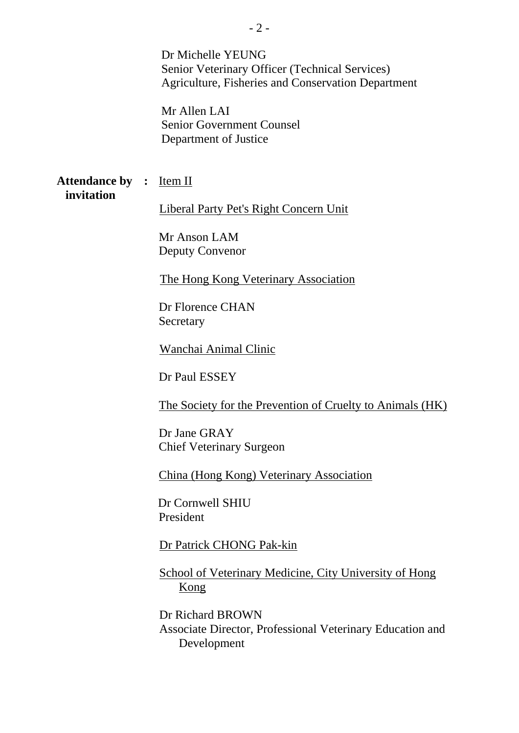Dr Michelle YEUNG Senior Veterinary Officer (Technical Services) Agriculture, Fisheries and Conservation Department

Mr Allen LAI Senior Government Counsel Department of Justice

**Attendance by : Item II invitation**

Liberal Party Pet's Right Concern Unit

Mr Anson LAM Deputy Convenor

The Hong Kong Veterinary Association

Dr Florence CHAN **Secretary** 

Wanchai Animal Clinic

Dr Paul ESSEY

The Society for the Prevention of Cruelty to Animals (HK)

Dr Jane GRAY Chief Veterinary Surgeon

China (Hong Kong) Veterinary Association

Dr Cornwell SHIU President

Dr Patrick CHONG Pak-kin

School of Veterinary Medicine, City University of Hong Kong

Dr Richard BROWN Associate Director, Professional Veterinary Education and Development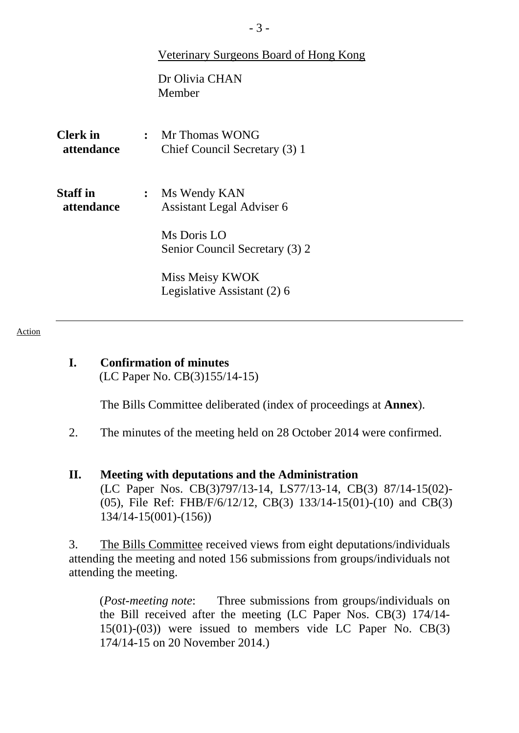|                               |                | <b>Veterinary Surgeons Board of Hong Kong</b>     |
|-------------------------------|----------------|---------------------------------------------------|
|                               |                | Dr Olivia CHAN<br>Member                          |
| Clerk in<br>attendance        |                | : Mr Thomas WONG<br>Chief Council Secretary (3) 1 |
| <b>Staff in</b><br>attendance | $\ddot{\cdot}$ | Ms Wendy KAN<br>Assistant Legal Adviser 6         |
|                               |                | Ms Doris LO<br>Senior Council Secretary (3) 2     |
|                               |                | Miss Meisy KWOK<br>Legislative Assistant (2) 6    |

Action

**I. Confirmation of minutes**  (LC Paper No. CB(3)155/14-15)

1. The Bills Committee deliberated (index of proceedings at **Annex**).

- 2. The minutes of the meeting held on 28 October 2014 were confirmed.
- **II. Meeting with deputations and the Administration**  (LC Paper Nos. CB(3)797/13-14, LS77/13-14, CB(3) 87/14-15(02)- (05), File Ref: FHB/F/6/12/12, CB(3) 133/14-15(01)-(10) and CB(3) 134/14-15(001)-(156))

3. The Bills Committee received views from eight deputations/individuals attending the meeting and noted 156 submissions from groups/individuals not attending the meeting.

(*Post-meeting note*: Three submissions from groups/individuals on the Bill received after the meeting (LC Paper Nos. CB(3) 174/14- 15(01)-(03)) were issued to members vide LC Paper No. CB(3) 174/14-15 on 20 November 2014.)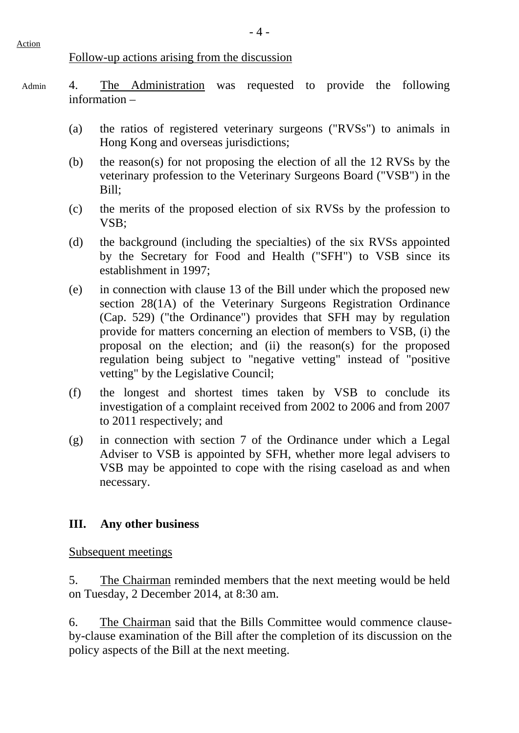#### Follow-up actions arising from the discussion

- 4. The Administration was requested to provide the following information – Admin
	- (a) the ratios of registered veterinary surgeons ("RVSs") to animals in Hong Kong and overseas jurisdictions;
	- (b) the reason(s) for not proposing the election of all the 12 RVSs by the veterinary profession to the Veterinary Surgeons Board ("VSB") in the Bill;
	- (c) the merits of the proposed election of six RVSs by the profession to VSB;
	- (d) the background (including the specialties) of the six RVSs appointed by the Secretary for Food and Health ("SFH") to VSB since its establishment in 1997;
	- (e) in connection with clause 13 of the Bill under which the proposed new section 28(1A) of the Veterinary Surgeons Registration Ordinance (Cap. 529) ("the Ordinance") provides that SFH may by regulation provide for matters concerning an election of members to VSB, (i) the proposal on the election; and (ii) the reason(s) for the proposed regulation being subject to "negative vetting" instead of "positive vetting" by the Legislative Council;
	- (f) the longest and shortest times taken by VSB to conclude its investigation of a complaint received from 2002 to 2006 and from 2007 to 2011 respectively; and
	- (g) in connection with section 7 of the Ordinance under which a Legal Adviser to VSB is appointed by SFH, whether more legal advisers to VSB may be appointed to cope with the rising caseload as and when necessary.

#### **III. Any other business**

Subsequent meetings

5. The Chairman reminded members that the next meeting would be held on Tuesday, 2 December 2014, at 8:30 am.

6. The Chairman said that the Bills Committee would commence clauseby-clause examination of the Bill after the completion of its discussion on the policy aspects of the Bill at the next meeting.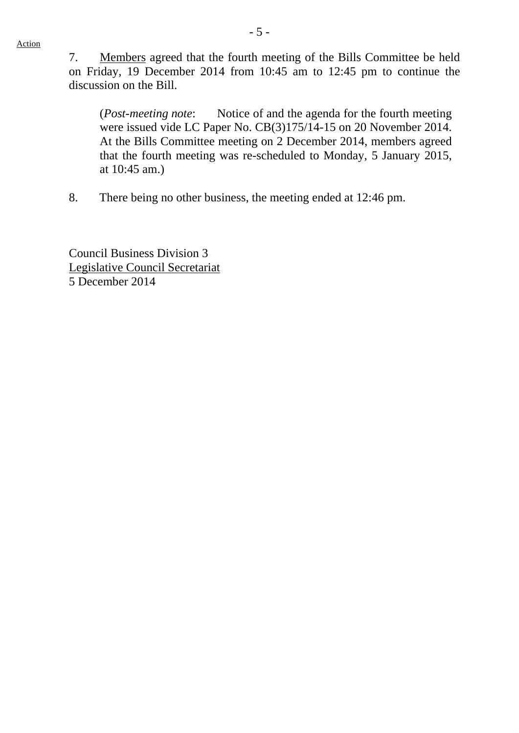7. Members agreed that the fourth meeting of the Bills Committee be held on Friday, 19 December 2014 from 10:45 am to 12:45 pm to continue the discussion on the Bill.

(*Post-meeting note*: Notice of and the agenda for the fourth meeting were issued vide LC Paper No. CB(3)175/14-15 on 20 November 2014. At the Bills Committee meeting on 2 December 2014, members agreed that the fourth meeting was re-scheduled to Monday, 5 January 2015, at 10:45 am.)

8. There being no other business, the meeting ended at 12:46 pm.

Council Business Division 3 Legislative Council Secretariat 5 December 2014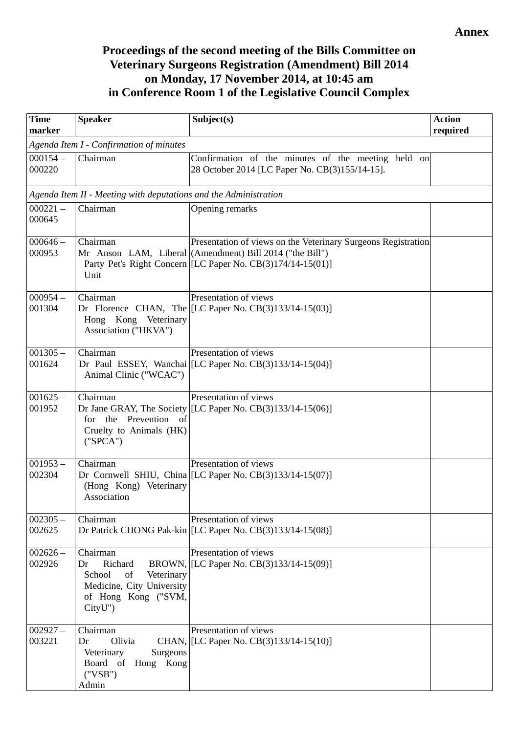## **Proceedings of the second meeting of the Bills Committee on Veterinary Surgeons Registration (Amendment) Bill 2014 on Monday, 17 November 2014, at 10:45 am in Conference Room 1 of the Legislative Council Complex**

| <b>Time</b><br>marker                   | <b>Speaker</b>                                                                                                         | Subject(s)                                                                                                                                                                                | <b>Action</b><br>required |  |  |
|-----------------------------------------|------------------------------------------------------------------------------------------------------------------------|-------------------------------------------------------------------------------------------------------------------------------------------------------------------------------------------|---------------------------|--|--|
| Agenda Item I - Confirmation of minutes |                                                                                                                        |                                                                                                                                                                                           |                           |  |  |
| $000154 -$<br>000220                    | Chairman                                                                                                               | Confirmation of the minutes of the meeting held on<br>28 October 2014 [LC Paper No. CB(3)155/14-15].                                                                                      |                           |  |  |
|                                         | Agenda Item II - Meeting with deputations and the Administration                                                       |                                                                                                                                                                                           |                           |  |  |
| $000221 -$<br>000645                    | Chairman                                                                                                               | Opening remarks                                                                                                                                                                           |                           |  |  |
| $000646 -$<br>000953                    | Chairman<br>Unit                                                                                                       | Presentation of views on the Veterinary Surgeons Registration<br>Mr Anson LAM, Liberal (Amendment) Bill 2014 ("the Bill")<br>Party Pet's Right Concern [[LC Paper No. CB(3)174/14-15(01)] |                           |  |  |
| $000954-$<br>001304                     | Chairman<br>Hong Kong Veterinary<br>Association ("HKVA")                                                               | Presentation of views<br>Dr Florence CHAN, The [LC Paper No. CB(3)133/14-15(03)]                                                                                                          |                           |  |  |
| $001305 -$<br>001624                    | Chairman<br>Animal Clinic ("WCAC")                                                                                     | Presentation of views<br>Dr Paul ESSEY, Wanchai [LC Paper No. $CB(3)133/14-15(04)$ ]                                                                                                      |                           |  |  |
| $001625 -$<br>001952                    | Chairman<br>Prevention of<br>for the<br>Cruelty to Animals (HK)<br>("SPCA")                                            | Presentation of views<br>Dr Jane GRAY, The Society [LC Paper No. $CB(3)133/14-15(06)$ ]                                                                                                   |                           |  |  |
| $001953 -$<br>002304                    | Chairman<br>(Hong Kong) Veterinary<br>Association                                                                      | Presentation of views<br>Dr Cornwell SHIU, China $ [LC$ Paper No. $CB(3)133/14-15(07)]$                                                                                                   |                           |  |  |
| $002305 -$<br>002625                    | Chairman                                                                                                               | Presentation of views<br>Dr Patrick CHONG Pak-kin [[LC Paper No. CB(3)133/14-15(08)]                                                                                                      |                           |  |  |
| $002626 -$<br>002926                    | Chairman<br>Richard<br>Dr<br>School<br>of<br>Veterinary<br>Medicine, City University<br>of Hong Kong ("SVM,<br>CityU") | Presentation of views<br>BROWN, [LC Paper No. CB(3)133/14-15(09)]                                                                                                                         |                           |  |  |
| $002927 -$<br>003221                    | Chairman<br>Olivia<br>Dr<br>Veterinary<br>Surgeons<br>Board of Hong Kong<br>("VSB")<br>Admin                           | Presentation of views<br>CHAN, [LC Paper No. CB(3)133/14-15(10)]                                                                                                                          |                           |  |  |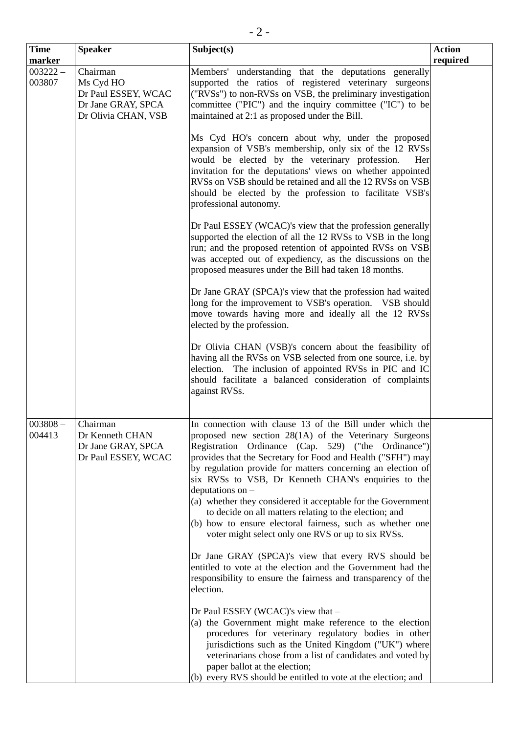| <b>Time</b>          | <b>Speaker</b>                                                                            | Subject(s)                                                                                                                                                                                                                                                                                                                                                                                                                                                                                                                                                                                                                                                                                                                                                                                                                                                                                                                                                                                                                                                                                                                                                                                                            | <b>Action</b> |
|----------------------|-------------------------------------------------------------------------------------------|-----------------------------------------------------------------------------------------------------------------------------------------------------------------------------------------------------------------------------------------------------------------------------------------------------------------------------------------------------------------------------------------------------------------------------------------------------------------------------------------------------------------------------------------------------------------------------------------------------------------------------------------------------------------------------------------------------------------------------------------------------------------------------------------------------------------------------------------------------------------------------------------------------------------------------------------------------------------------------------------------------------------------------------------------------------------------------------------------------------------------------------------------------------------------------------------------------------------------|---------------|
| marker               |                                                                                           |                                                                                                                                                                                                                                                                                                                                                                                                                                                                                                                                                                                                                                                                                                                                                                                                                                                                                                                                                                                                                                                                                                                                                                                                                       | required      |
| $003222 -$<br>003807 | Chairman<br>Ms Cyd HO<br>Dr Paul ESSEY, WCAC<br>Dr Jane GRAY, SPCA<br>Dr Olivia CHAN, VSB | Members' understanding that the deputations generally<br>supported the ratios of registered veterinary surgeons<br>("RVSs") to non-RVSs on VSB, the preliminary investigation<br>committee ("PIC") and the inquiry committee ("IC") to be<br>maintained at 2:1 as proposed under the Bill.                                                                                                                                                                                                                                                                                                                                                                                                                                                                                                                                                                                                                                                                                                                                                                                                                                                                                                                            |               |
|                      |                                                                                           | Ms Cyd HO's concern about why, under the proposed<br>expansion of VSB's membership, only six of the 12 RVSs<br>would be elected by the veterinary profession.<br>Her<br>invitation for the deputations' views on whether appointed<br>RVSs on VSB should be retained and all the 12 RVSs on VSB<br>should be elected by the profession to facilitate VSB's<br>professional autonomy.                                                                                                                                                                                                                                                                                                                                                                                                                                                                                                                                                                                                                                                                                                                                                                                                                                  |               |
|                      |                                                                                           | Dr Paul ESSEY (WCAC)'s view that the profession generally<br>supported the election of all the 12 RVSs to VSB in the long<br>run; and the proposed retention of appointed RVSs on VSB<br>was accepted out of expediency, as the discussions on the<br>proposed measures under the Bill had taken 18 months.                                                                                                                                                                                                                                                                                                                                                                                                                                                                                                                                                                                                                                                                                                                                                                                                                                                                                                           |               |
|                      |                                                                                           | Dr Jane GRAY (SPCA)'s view that the profession had waited<br>long for the improvement to VSB's operation. VSB should<br>move towards having more and ideally all the 12 RVSs<br>elected by the profession.                                                                                                                                                                                                                                                                                                                                                                                                                                                                                                                                                                                                                                                                                                                                                                                                                                                                                                                                                                                                            |               |
|                      |                                                                                           | Dr Olivia CHAN (VSB)'s concern about the feasibility of<br>having all the RVSs on VSB selected from one source, i.e. by<br>election. The inclusion of appointed RVSs in PIC and IC<br>should facilitate a balanced consideration of complaints<br>against RVSs.                                                                                                                                                                                                                                                                                                                                                                                                                                                                                                                                                                                                                                                                                                                                                                                                                                                                                                                                                       |               |
| $003808 -$<br>004413 | Chairman<br>Dr Kenneth CHAN<br>Dr Jane GRAY, SPCA<br>Dr Paul ESSEY, WCAC                  | In connection with clause 13 of the Bill under which the<br>proposed new section 28(1A) of the Veterinary Surgeons<br>Registration Ordinance (Cap. 529) ("the Ordinance")<br>provides that the Secretary for Food and Health ("SFH") may<br>by regulation provide for matters concerning an election of<br>six RVSs to VSB, Dr Kenneth CHAN's enquiries to the<br>deputations on -<br>(a) whether they considered it acceptable for the Government<br>to decide on all matters relating to the election; and<br>(b) how to ensure electoral fairness, such as whether one<br>voter might select only one RVS or up to six RVSs.<br>Dr Jane GRAY (SPCA)'s view that every RVS should be<br>entitled to vote at the election and the Government had the<br>responsibility to ensure the fairness and transparency of the<br>election.<br>Dr Paul ESSEY (WCAC)'s view that -<br>(a) the Government might make reference to the election<br>procedures for veterinary regulatory bodies in other<br>jurisdictions such as the United Kingdom ("UK") where<br>veterinarians chose from a list of candidates and voted by<br>paper ballot at the election;<br>(b) every RVS should be entitled to vote at the election; and |               |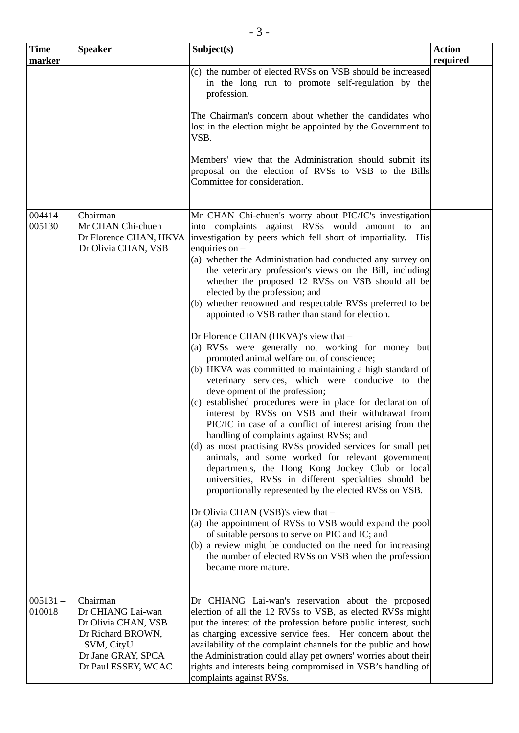| <b>Time</b><br>marker | <b>Speaker</b>                                                                                                                       | Subject(s)                                                                                                                                                                                                                                                                                                                                                                                                                                                                                                                                                                                                                                                                                                                                                                                                                                                                                                                                                                                                                                                                                                                                                                                                                                                                                                                                                                                                                                                                                                                                                                                                                    | <b>Action</b><br>required |
|-----------------------|--------------------------------------------------------------------------------------------------------------------------------------|-------------------------------------------------------------------------------------------------------------------------------------------------------------------------------------------------------------------------------------------------------------------------------------------------------------------------------------------------------------------------------------------------------------------------------------------------------------------------------------------------------------------------------------------------------------------------------------------------------------------------------------------------------------------------------------------------------------------------------------------------------------------------------------------------------------------------------------------------------------------------------------------------------------------------------------------------------------------------------------------------------------------------------------------------------------------------------------------------------------------------------------------------------------------------------------------------------------------------------------------------------------------------------------------------------------------------------------------------------------------------------------------------------------------------------------------------------------------------------------------------------------------------------------------------------------------------------------------------------------------------------|---------------------------|
|                       |                                                                                                                                      | (c) the number of elected RVSs on VSB should be increased<br>in the long run to promote self-regulation by the<br>profession.                                                                                                                                                                                                                                                                                                                                                                                                                                                                                                                                                                                                                                                                                                                                                                                                                                                                                                                                                                                                                                                                                                                                                                                                                                                                                                                                                                                                                                                                                                 |                           |
|                       |                                                                                                                                      | The Chairman's concern about whether the candidates who<br>lost in the election might be appointed by the Government to<br>VSB.                                                                                                                                                                                                                                                                                                                                                                                                                                                                                                                                                                                                                                                                                                                                                                                                                                                                                                                                                                                                                                                                                                                                                                                                                                                                                                                                                                                                                                                                                               |                           |
|                       |                                                                                                                                      | Members' view that the Administration should submit its<br>proposal on the election of RVSs to VSB to the Bills<br>Committee for consideration.                                                                                                                                                                                                                                                                                                                                                                                                                                                                                                                                                                                                                                                                                                                                                                                                                                                                                                                                                                                                                                                                                                                                                                                                                                                                                                                                                                                                                                                                               |                           |
| $004414 -$<br>005130  | Chairman<br>Mr CHAN Chi-chuen<br>Dr Florence CHAN, HKVA<br>Dr Olivia CHAN, VSB                                                       | Mr CHAN Chi-chuen's worry about PIC/IC's investigation<br>into complaints against RVSs would amount to an<br>investigation by peers which fell short of impartiality. His<br>enquiries on -<br>(a) whether the Administration had conducted any survey on<br>the veterinary profession's views on the Bill, including<br>whether the proposed 12 RVSs on VSB should all be<br>elected by the profession; and<br>(b) whether renowned and respectable RVSs preferred to be<br>appointed to VSB rather than stand for election.<br>Dr Florence CHAN (HKVA)'s view that -<br>(a) RVSs were generally not working for money but<br>promoted animal welfare out of conscience;<br>(b) HKVA was committed to maintaining a high standard of<br>veterinary services, which were conducive to the<br>development of the profession;<br>(c) established procedures were in place for declaration of<br>interest by RVSs on VSB and their withdrawal from<br>PIC/IC in case of a conflict of interest arising from the<br>handling of complaints against RVSs; and<br>(d) as most practising RVSs provided services for small pet<br>animals, and some worked for relevant government<br>departments, the Hong Kong Jockey Club or local<br>universities, RVSs in different specialties should be<br>proportionally represented by the elected RVSs on VSB.<br>Dr Olivia CHAN (VSB)'s view that -<br>(a) the appointment of RVSs to VSB would expand the pool<br>of suitable persons to serve on PIC and IC; and<br>(b) a review might be conducted on the need for increasing<br>the number of elected RVSs on VSB when the profession |                           |
|                       |                                                                                                                                      | became more mature.                                                                                                                                                                                                                                                                                                                                                                                                                                                                                                                                                                                                                                                                                                                                                                                                                                                                                                                                                                                                                                                                                                                                                                                                                                                                                                                                                                                                                                                                                                                                                                                                           |                           |
| $005131 -$<br>010018  | Chairman<br>Dr CHIANG Lai-wan<br>Dr Olivia CHAN, VSB<br>Dr Richard BROWN,<br>SVM, CityU<br>Dr Jane GRAY, SPCA<br>Dr Paul ESSEY, WCAC | Dr CHIANG Lai-wan's reservation about the proposed<br>election of all the 12 RVSs to VSB, as elected RVSs might<br>put the interest of the profession before public interest, such<br>as charging excessive service fees. Her concern about the<br>availability of the complaint channels for the public and how<br>the Administration could allay pet owners' worries about their<br>rights and interests being compromised in VSB's handling of<br>complaints against RVSs.                                                                                                                                                                                                                                                                                                                                                                                                                                                                                                                                                                                                                                                                                                                                                                                                                                                                                                                                                                                                                                                                                                                                                 |                           |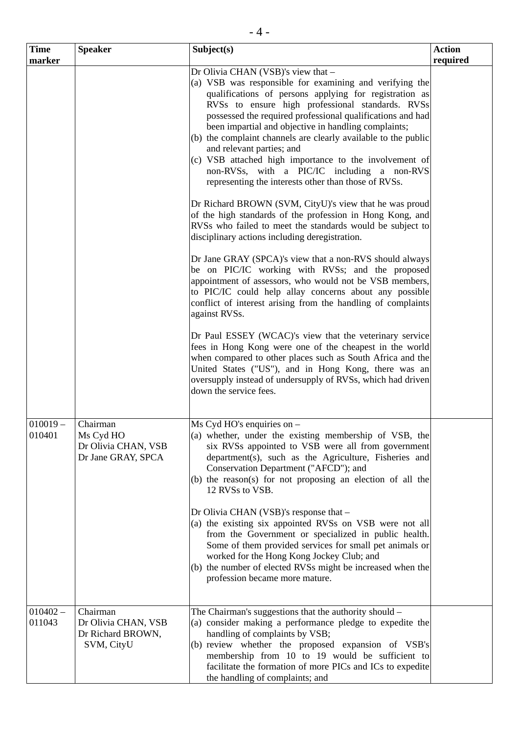| <b>Time</b>          | <b>Speaker</b>                                                     | Subject(s)                                                                                                                                                                                                                                                                                                                                                                                                                                                                                                                                                                                                                                                                                                                                                                                                                                                                                                                                                                                                                                                                                                                                                                                                                                                                                                                                                                                                                                                                                        | <b>Action</b> |
|----------------------|--------------------------------------------------------------------|---------------------------------------------------------------------------------------------------------------------------------------------------------------------------------------------------------------------------------------------------------------------------------------------------------------------------------------------------------------------------------------------------------------------------------------------------------------------------------------------------------------------------------------------------------------------------------------------------------------------------------------------------------------------------------------------------------------------------------------------------------------------------------------------------------------------------------------------------------------------------------------------------------------------------------------------------------------------------------------------------------------------------------------------------------------------------------------------------------------------------------------------------------------------------------------------------------------------------------------------------------------------------------------------------------------------------------------------------------------------------------------------------------------------------------------------------------------------------------------------------|---------------|
| marker               |                                                                    |                                                                                                                                                                                                                                                                                                                                                                                                                                                                                                                                                                                                                                                                                                                                                                                                                                                                                                                                                                                                                                                                                                                                                                                                                                                                                                                                                                                                                                                                                                   | required      |
|                      |                                                                    | Dr Olivia CHAN (VSB)'s view that -<br>(a) VSB was responsible for examining and verifying the<br>qualifications of persons applying for registration as<br>RVSs to ensure high professional standards. RVSs<br>possessed the required professional qualifications and had<br>been impartial and objective in handling complaints;<br>(b) the complaint channels are clearly available to the public<br>and relevant parties; and<br>(c) VSB attached high importance to the involvement of<br>non-RVSs, with a PIC/IC including a non-RVS<br>representing the interests other than those of RVSs.<br>Dr Richard BROWN (SVM, CityU)'s view that he was proud<br>of the high standards of the profession in Hong Kong, and<br>RVSs who failed to meet the standards would be subject to<br>disciplinary actions including deregistration.<br>Dr Jane GRAY (SPCA)'s view that a non-RVS should always<br>be on PIC/IC working with RVSs; and the proposed<br>appointment of assessors, who would not be VSB members,<br>to PIC/IC could help allay concerns about any possible<br>conflict of interest arising from the handling of complaints<br>against RVSs.<br>Dr Paul ESSEY (WCAC)'s view that the veterinary service<br>fees in Hong Kong were one of the cheapest in the world<br>when compared to other places such as South Africa and the<br>United States ("US"), and in Hong Kong, there was an<br>oversupply instead of undersupply of RVSs, which had driven<br>down the service fees. |               |
| $010019 -$<br>010401 | Chairman<br>Ms Cyd HO<br>Dr Olivia CHAN, VSB<br>Dr Jane GRAY, SPCA | $Ms$ Cyd HO's enquiries on $-$<br>(a) whether, under the existing membership of VSB, the<br>six RVSs appointed to VSB were all from government<br>department(s), such as the Agriculture, Fisheries and<br>Conservation Department ("AFCD"); and<br>(b) the reason(s) for not proposing an election of all the<br>12 RVSs to VSB.<br>Dr Olivia CHAN (VSB)'s response that -<br>(a) the existing six appointed RVSs on VSB were not all<br>from the Government or specialized in public health.<br>Some of them provided services for small pet animals or<br>worked for the Hong Kong Jockey Club; and<br>(b) the number of elected RVSs might be increased when the<br>profession became more mature.                                                                                                                                                                                                                                                                                                                                                                                                                                                                                                                                                                                                                                                                                                                                                                                            |               |
| $010402 -$<br>011043 | Chairman<br>Dr Olivia CHAN, VSB<br>Dr Richard BROWN,<br>SVM, CityU | The Chairman's suggestions that the authority should –<br>(a) consider making a performance pledge to expedite the<br>handling of complaints by VSB;<br>(b) review whether the proposed expansion of VSB's<br>membership from 10 to 19 would be sufficient to<br>facilitate the formation of more PICs and ICs to expedite<br>the handling of complaints; and                                                                                                                                                                                                                                                                                                                                                                                                                                                                                                                                                                                                                                                                                                                                                                                                                                                                                                                                                                                                                                                                                                                                     |               |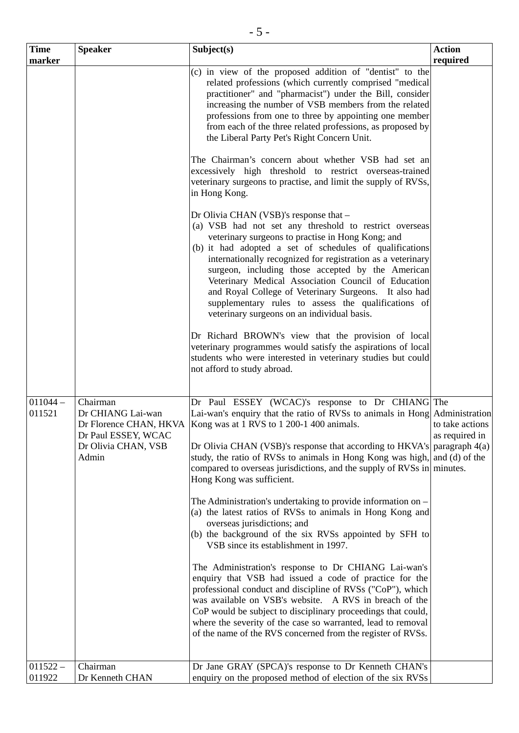| <b>Time</b>          | <b>Speaker</b>                                                                                                 | Subject(s)                                                                                                                                                                                                                                                                                                                                                                                                                                                                                                                                                                                                                                                                                                                                                                                                                                                                                                                                                                                                                                           | <b>Action</b>                                                           |
|----------------------|----------------------------------------------------------------------------------------------------------------|------------------------------------------------------------------------------------------------------------------------------------------------------------------------------------------------------------------------------------------------------------------------------------------------------------------------------------------------------------------------------------------------------------------------------------------------------------------------------------------------------------------------------------------------------------------------------------------------------------------------------------------------------------------------------------------------------------------------------------------------------------------------------------------------------------------------------------------------------------------------------------------------------------------------------------------------------------------------------------------------------------------------------------------------------|-------------------------------------------------------------------------|
| marker               |                                                                                                                |                                                                                                                                                                                                                                                                                                                                                                                                                                                                                                                                                                                                                                                                                                                                                                                                                                                                                                                                                                                                                                                      | required                                                                |
|                      |                                                                                                                | (c) in view of the proposed addition of "dentist" to the<br>related professions (which currently comprised "medical<br>practitioner" and "pharmacist") under the Bill, consider<br>increasing the number of VSB members from the related<br>professions from one to three by appointing one member<br>from each of the three related professions, as proposed by<br>the Liberal Party Pet's Right Concern Unit.                                                                                                                                                                                                                                                                                                                                                                                                                                                                                                                                                                                                                                      |                                                                         |
|                      |                                                                                                                | The Chairman's concern about whether VSB had set an<br>excessively high threshold to restrict overseas-trained<br>veterinary surgeons to practise, and limit the supply of RVSs,<br>in Hong Kong.                                                                                                                                                                                                                                                                                                                                                                                                                                                                                                                                                                                                                                                                                                                                                                                                                                                    |                                                                         |
|                      |                                                                                                                | Dr Olivia CHAN (VSB)'s response that -<br>(a) VSB had not set any threshold to restrict overseas<br>veterinary surgeons to practise in Hong Kong; and<br>(b) it had adopted a set of schedules of qualifications<br>internationally recognized for registration as a veterinary<br>surgeon, including those accepted by the American<br>Veterinary Medical Association Council of Education<br>and Royal College of Veterinary Surgeons. It also had<br>supplementary rules to assess the qualifications of<br>veterinary surgeons on an individual basis.                                                                                                                                                                                                                                                                                                                                                                                                                                                                                           |                                                                         |
|                      |                                                                                                                | Dr Richard BROWN's view that the provision of local<br>veterinary programmes would satisfy the aspirations of local<br>students who were interested in veterinary studies but could<br>not afford to study abroad.                                                                                                                                                                                                                                                                                                                                                                                                                                                                                                                                                                                                                                                                                                                                                                                                                                   |                                                                         |
| $011044 -$<br>011521 | Chairman<br>Dr CHIANG Lai-wan<br>Dr Florence CHAN, HKVA<br>Dr Paul ESSEY, WCAC<br>Dr Olivia CHAN, VSB<br>Admin | Dr Paul ESSEY (WCAC)'s response to Dr CHIANG The<br>Lai-wan's enquiry that the ratio of RVSs to animals in Hong Administration<br>Kong was at 1 RVS to 1 200-1 400 animals.<br>Dr Olivia CHAN (VSB)'s response that according to HKVA's<br>study, the ratio of RVSs to animals in Hong Kong was high,<br>compared to overseas jurisdictions, and the supply of RVSs in minutes.<br>Hong Kong was sufficient.<br>The Administration's undertaking to provide information on -<br>(a) the latest ratios of RVSs to animals in Hong Kong and<br>overseas jurisdictions; and<br>(b) the background of the six RVSs appointed by SFH to<br>VSB since its establishment in 1997.<br>The Administration's response to Dr CHIANG Lai-wan's<br>enquiry that VSB had issued a code of practice for the<br>professional conduct and discipline of RVSs ("CoP"), which<br>was available on VSB's website. A RVS in breach of the<br>CoP would be subject to disciplinary proceedings that could,<br>where the severity of the case so warranted, lead to removal | to take actions<br>as required in<br>paragraph $4(a)$<br>and (d) of the |
| $011522 -$<br>011922 | Chairman<br>Dr Kenneth CHAN                                                                                    | of the name of the RVS concerned from the register of RVSs.<br>Dr Jane GRAY (SPCA)'s response to Dr Kenneth CHAN's<br>enquiry on the proposed method of election of the six RVSs                                                                                                                                                                                                                                                                                                                                                                                                                                                                                                                                                                                                                                                                                                                                                                                                                                                                     |                                                                         |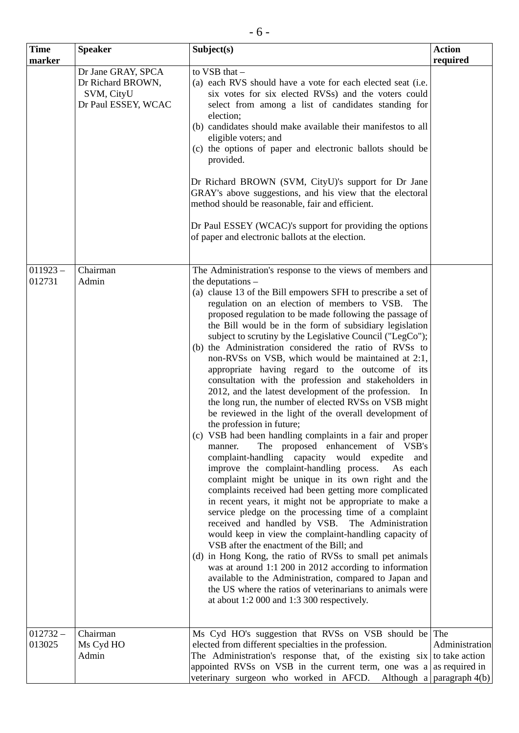| <b>Time</b>          | <b>Speaker</b>                                                               | Subject(s)                                                                                                                                                                                                                                                                                                                                                                                                                                                                                                                                                                                                                                                                                                                                                                                                                                                                                                                                                                                                                                                                                                                                                                                                                                                                                                                                                                                                                                                                                                                                                                                                                                                                                                                                 | <b>Action</b>  |
|----------------------|------------------------------------------------------------------------------|--------------------------------------------------------------------------------------------------------------------------------------------------------------------------------------------------------------------------------------------------------------------------------------------------------------------------------------------------------------------------------------------------------------------------------------------------------------------------------------------------------------------------------------------------------------------------------------------------------------------------------------------------------------------------------------------------------------------------------------------------------------------------------------------------------------------------------------------------------------------------------------------------------------------------------------------------------------------------------------------------------------------------------------------------------------------------------------------------------------------------------------------------------------------------------------------------------------------------------------------------------------------------------------------------------------------------------------------------------------------------------------------------------------------------------------------------------------------------------------------------------------------------------------------------------------------------------------------------------------------------------------------------------------------------------------------------------------------------------------------|----------------|
| marker               |                                                                              |                                                                                                                                                                                                                                                                                                                                                                                                                                                                                                                                                                                                                                                                                                                                                                                                                                                                                                                                                                                                                                                                                                                                                                                                                                                                                                                                                                                                                                                                                                                                                                                                                                                                                                                                            | required       |
|                      | Dr Jane GRAY, SPCA<br>Dr Richard BROWN,<br>SVM, CityU<br>Dr Paul ESSEY, WCAC | to VSB that -<br>(a) each RVS should have a vote for each elected seat (i.e.<br>six votes for six elected RVSs) and the voters could<br>select from among a list of candidates standing for<br>election;<br>(b) candidates should make available their manifestos to all<br>eligible voters; and<br>(c) the options of paper and electronic ballots should be<br>provided.<br>Dr Richard BROWN (SVM, CityU)'s support for Dr Jane<br>GRAY's above suggestions, and his view that the electoral<br>method should be reasonable, fair and efficient.<br>Dr Paul ESSEY (WCAC)'s support for providing the options<br>of paper and electronic ballots at the election.                                                                                                                                                                                                                                                                                                                                                                                                                                                                                                                                                                                                                                                                                                                                                                                                                                                                                                                                                                                                                                                                         |                |
| $011923 -$<br>012731 | Chairman<br>Admin                                                            | The Administration's response to the views of members and<br>the deputations $-$<br>(a) clause 13 of the Bill empowers SFH to prescribe a set of<br>regulation on an election of members to VSB. The<br>proposed regulation to be made following the passage of<br>the Bill would be in the form of subsidiary legislation<br>subject to scrutiny by the Legislative Council ("LegCo");<br>(b) the Administration considered the ratio of RVSs to<br>non-RVSs on VSB, which would be maintained at 2:1,<br>appropriate having regard to the outcome of its<br>consultation with the profession and stakeholders in<br>2012, and the latest development of the profession.<br>In<br>the long run, the number of elected RVSs on VSB might<br>be reviewed in the light of the overall development of<br>the profession in future;<br>(c) VSB had been handling complaints in a fair and proper<br>The proposed enhancement of VSB's<br>manner.<br>complaint-handling capacity would expedite<br>and<br>improve the complaint-handling process.<br>As each<br>complaint might be unique in its own right and the<br>complaints received had been getting more complicated<br>in recent years, it might not be appropriate to make a<br>service pledge on the processing time of a complaint<br>received and handled by VSB. The Administration<br>would keep in view the complaint-handling capacity of<br>VSB after the enactment of the Bill; and<br>(d) in Hong Kong, the ratio of RVSs to small pet animals<br>was at around 1:1 200 in 2012 according to information<br>available to the Administration, compared to Japan and<br>the US where the ratios of veterinarians to animals were<br>at about 1:2 000 and 1:3 300 respectively. |                |
| $012732 -$<br>013025 | Chairman<br>Ms Cyd HO<br>Admin                                               | Ms Cyd HO's suggestion that RVSs on VSB should be The<br>elected from different specialties in the profession.<br>The Administration's response that, of the existing $\sin \theta$ to take action<br>appointed RVSs on VSB in the current term, one was a as required in<br>veterinary surgeon who worked in AFCD. Although a paragraph $4(b)$                                                                                                                                                                                                                                                                                                                                                                                                                                                                                                                                                                                                                                                                                                                                                                                                                                                                                                                                                                                                                                                                                                                                                                                                                                                                                                                                                                                            | Administration |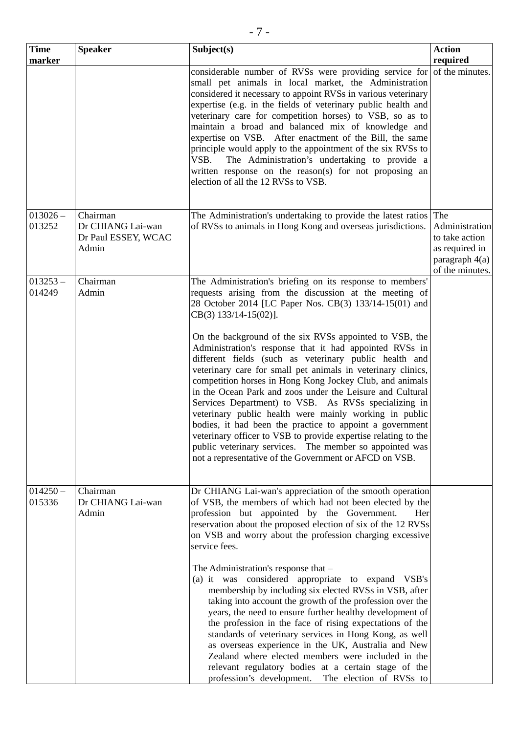| <b>Time</b>          | <b>Speaker</b>                                    | Subject(s)                                                                                                                                                                                                                                                                                                                                                                                                                                                                                                                                                                                                                                                                                                                                 | <b>Action</b>                                                                           |
|----------------------|---------------------------------------------------|--------------------------------------------------------------------------------------------------------------------------------------------------------------------------------------------------------------------------------------------------------------------------------------------------------------------------------------------------------------------------------------------------------------------------------------------------------------------------------------------------------------------------------------------------------------------------------------------------------------------------------------------------------------------------------------------------------------------------------------------|-----------------------------------------------------------------------------------------|
| marker               |                                                   |                                                                                                                                                                                                                                                                                                                                                                                                                                                                                                                                                                                                                                                                                                                                            | required                                                                                |
|                      |                                                   | considerable number of RVSs were providing service for of the minutes.<br>small pet animals in local market, the Administration<br>considered it necessary to appoint RVSs in various veterinary<br>expertise (e.g. in the fields of veterinary public health and<br>veterinary care for competition horses) to VSB, so as to<br>maintain a broad and balanced mix of knowledge and<br>expertise on VSB. After enactment of the Bill, the same<br>principle would apply to the appointment of the six RVSs to<br>The Administration's undertaking to provide a<br>VSB.<br>written response on the reason(s) for not proposing an<br>election of all the 12 RVSs to VSB.                                                                    |                                                                                         |
| $013026 -$           | Chairman                                          | The Administration's undertaking to provide the latest ratios The                                                                                                                                                                                                                                                                                                                                                                                                                                                                                                                                                                                                                                                                          |                                                                                         |
| 013252               | Dr CHIANG Lai-wan<br>Dr Paul ESSEY, WCAC<br>Admin | of RVSs to animals in Hong Kong and overseas jurisdictions.                                                                                                                                                                                                                                                                                                                                                                                                                                                                                                                                                                                                                                                                                | Administration<br>to take action<br>as required in<br>paragraph 4(a)<br>of the minutes. |
| $013253 -$           | Chairman                                          | The Administration's briefing on its response to members'                                                                                                                                                                                                                                                                                                                                                                                                                                                                                                                                                                                                                                                                                  |                                                                                         |
| 014249               | Admin                                             | requests arising from the discussion at the meeting of<br>28 October 2014 [LC Paper Nos. CB(3) 133/14-15(01) and<br>CB(3) 133/14-15(02)].                                                                                                                                                                                                                                                                                                                                                                                                                                                                                                                                                                                                  |                                                                                         |
|                      |                                                   | On the background of the six RVSs appointed to VSB, the<br>Administration's response that it had appointed RVSs in<br>different fields (such as veterinary public health and<br>veterinary care for small pet animals in veterinary clinics,<br>competition horses in Hong Kong Jockey Club, and animals<br>in the Ocean Park and zoos under the Leisure and Cultural<br>Services Department) to VSB. As RVSs specializing in<br>veterinary public health were mainly working in public<br>bodies, it had been the practice to appoint a government<br>veterinary officer to VSB to provide expertise relating to the<br>public veterinary services. The member so appointed was<br>not a representative of the Government or AFCD on VSB. |                                                                                         |
| $014250 -$<br>015336 | Chairman<br>Dr CHIANG Lai-wan<br>Admin            | Dr CHIANG Lai-wan's appreciation of the smooth operation<br>of VSB, the members of which had not been elected by the<br>profession but appointed by the Government.<br>Her<br>reservation about the proposed election of six of the 12 RVSs<br>on VSB and worry about the profession charging excessive<br>service fees.                                                                                                                                                                                                                                                                                                                                                                                                                   |                                                                                         |
|                      |                                                   | The Administration's response that -<br>(a) it was considered appropriate to expand VSB's<br>membership by including six elected RVSs in VSB, after<br>taking into account the growth of the profession over the<br>years, the need to ensure further healthy development of<br>the profession in the face of rising expectations of the<br>standards of veterinary services in Hong Kong, as well<br>as overseas experience in the UK, Australia and New<br>Zealand where elected members were included in the<br>relevant regulatory bodies at a certain stage of the<br>profession's development. The election of RVSs to                                                                                                               |                                                                                         |